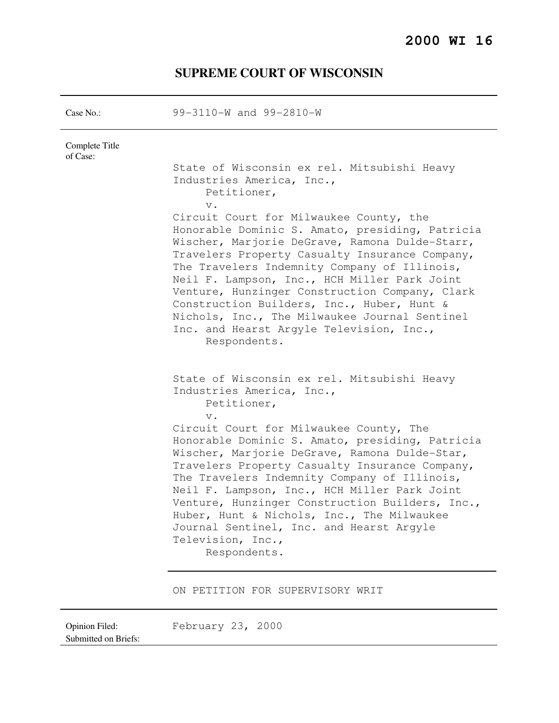# **SUPREME COURT OF WISCONSIN**

| Case $No.$ :               | 99-3110-W and 99-2810-W                                                                                                                                                                                                                                                                                                                                                                                                                                                                                                                                                                                                 |
|----------------------------|-------------------------------------------------------------------------------------------------------------------------------------------------------------------------------------------------------------------------------------------------------------------------------------------------------------------------------------------------------------------------------------------------------------------------------------------------------------------------------------------------------------------------------------------------------------------------------------------------------------------------|
| Complete Title<br>of Case: | State of Wisconsin ex rel. Mitsubishi Heavy<br>Industries America, Inc.,<br>Petitioner,<br>$\mathbf v$ .<br>Circuit Court for Milwaukee County, the<br>Honorable Dominic S. Amato, presiding, Patricia<br>Wischer, Marjorie DeGrave, Ramona Dulde-Starr,<br>Travelers Property Casualty Insurance Company,<br>The Travelers Indemnity Company of Illinois,<br>Neil F. Lampson, Inc., HCH Miller Park Joint<br>Venture, Hunzinger Construction Company, Clark<br>Construction Builders, Inc., Huber, Hunt &<br>Nichols, Inc., The Milwaukee Journal Sentinel<br>Inc. and Hearst Argyle Television, Inc.,<br>Respondents. |
|                            | State of Wisconsin ex rel. Mitsubishi Heavy<br>Industries America, Inc.,<br>Petitioner,<br>$V$ .<br>Circuit Court for Milwaukee County, The<br>Honorable Dominic S. Amato, presiding, Patricia<br>Wischer, Marjorie DeGrave, Ramona Dulde-Star,<br>Travelers Property Casualty Insurance Company,<br>The Travelers Indemnity Company of Illinois,<br>Neil F. Lampson, Inc., HCH Miller Park Joint<br>Venture, Hunzinger Construction Builders, Inc.,<br>Huber, Hunt & Nichols, Inc., The Milwaukee<br>Journal Sentinel, Inc. and Hearst Argyle<br>Television, Inc.,<br>Respondents.<br>ON PETITION FOR SUPERVISORY WRIT |

Opinion Filed: February 23, 2000

Submitted on Briefs: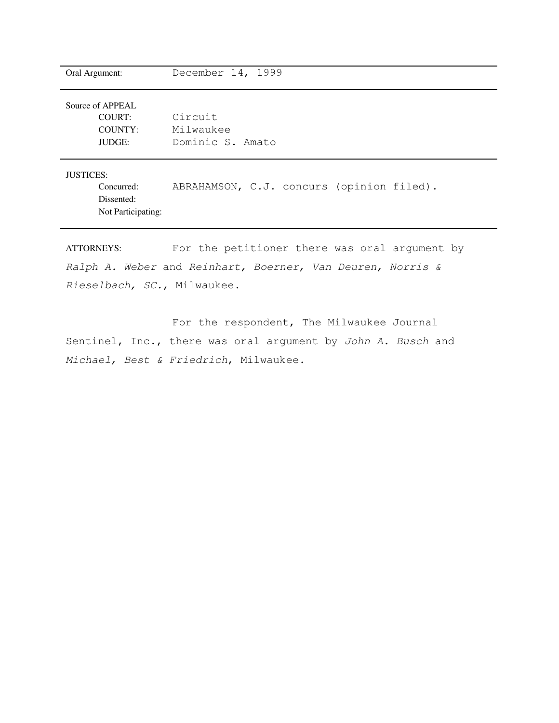| Oral Argument:                                                | December 14, 1999                         |
|---------------------------------------------------------------|-------------------------------------------|
| Source of APPEAL<br>COURT:<br><b>COUNTY:</b><br><b>JUDGE:</b> | Circuit<br>Milwaukee<br>Dominic S. Amato  |
| <b>JUSTICES:</b><br>Concurred:<br>Dissented:                  | ABRAHAMSON, C.J. concurs (opinion filed). |

Not Participating:

ATTORNEYS: For the petitioner there was oral argument by Ralph A. Weber and Reinhart, Boerner, Van Deuren, Norris & Rieselbach, SC., Milwaukee.

 For the respondent, The Milwaukee Journal Sentinel, Inc., there was oral argument by John A. Busch and Michael, Best & Friedrich, Milwaukee.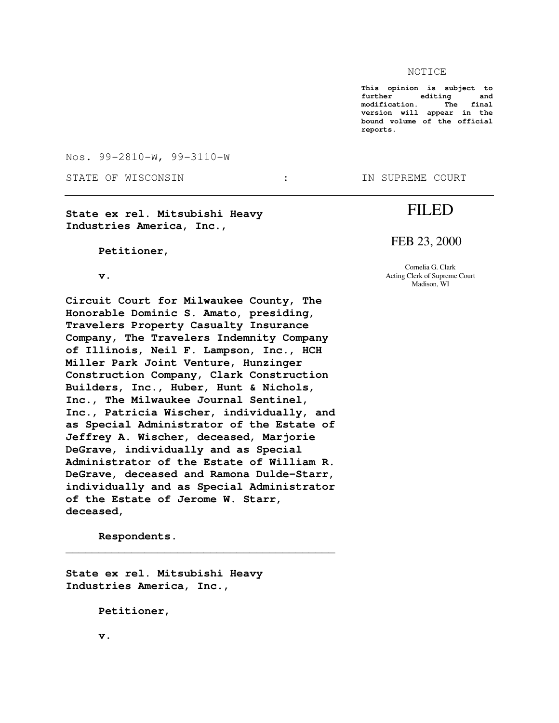#### NOTICE

**This opinion is subject to editing** and<br>ion. The final modification. The **version will appear in the bound volume of the official reports.** 

FILED

FEB 23, 2000

Cornelia G. Clark Acting Clerk of Supreme Court Madison, WI

Nos. 99-2810-W, 99-3110-W

STATE OF WISCONSIN THE STATE OF WISCONSIN THE STATE OF SUPREME COURT

**State ex rel. Mitsubishi Heavy Industries America, Inc.,** 

 **Petitioner,** 

 **v.** 

**Circuit Court for Milwaukee County, The Honorable Dominic S. Amato, presiding, Travelers Property Casualty Insurance Company, The Travelers Indemnity Company of Illinois, Neil F. Lampson, Inc., HCH Miller Park Joint Venture, Hunzinger Construction Company, Clark Construction Builders, Inc., Huber, Hunt & Nichols, Inc., The Milwaukee Journal Sentinel, Inc., Patricia Wischer, individually, and as Special Administrator of the Estate of Jeffrey A. Wischer, deceased, Marjorie DeGrave, individually and as Special Administrator of the Estate of William R. DeGrave, deceased and Ramona Dulde-Starr, individually and as Special Administrator of the Estate of Jerome W. Starr, deceased,** 

 $\overline{\phantom{a}}$  , and the set of the set of the set of the set of the set of the set of the set of the set of the set of the set of the set of the set of the set of the set of the set of the set of the set of the set of the s

 **Respondents.** 

**State ex rel. Mitsubishi Heavy Industries America, Inc.,** 

 **Petitioner,** 

 **v.**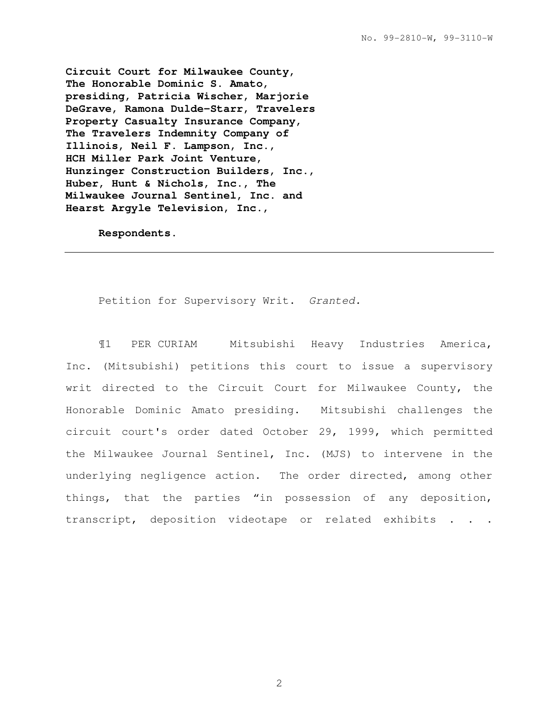**Circuit Court for Milwaukee County, The Honorable Dominic S. Amato, presiding, Patricia Wischer, Marjorie DeGrave, Ramona Dulde-Starr, Travelers Property Casualty Insurance Company, The Travelers Indemnity Company of Illinois, Neil F. Lampson, Inc., HCH Miller Park Joint Venture, Hunzinger Construction Builders, Inc., Huber, Hunt & Nichols, Inc., The Milwaukee Journal Sentinel, Inc. and Hearst Argyle Television, Inc.,** 

 **Respondents.** 

Petition for Supervisory Writ. Granted.

¶1 PER CURIAM Mitsubishi Heavy Industries America, Inc. (Mitsubishi) petitions this court to issue a supervisory writ directed to the Circuit Court for Milwaukee County, the Honorable Dominic Amato presiding. Mitsubishi challenges the circuit court's order dated October 29, 1999, which permitted the Milwaukee Journal Sentinel, Inc. (MJS) to intervene in the underlying negligence action. The order directed, among other things, that the parties "in possession of any deposition, transcript, deposition videotape or related exhibits . . .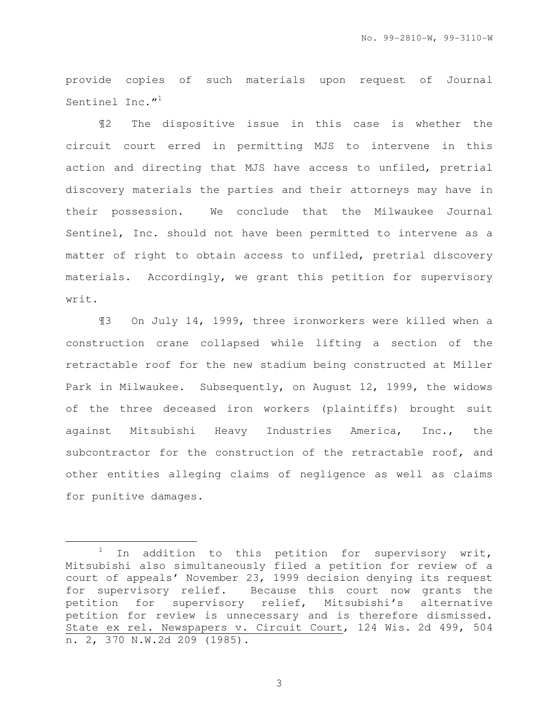provide copies of such materials upon request of Journal Sentinel Inc."<sup>1</sup>

¶2 The dispositive issue in this case is whether the circuit court erred in permitting MJS to intervene in this action and directing that MJS have access to unfiled, pretrial discovery materials the parties and their attorneys may have in their possession. We conclude that the Milwaukee Journal Sentinel, Inc. should not have been permitted to intervene as a matter of right to obtain access to unfiled, pretrial discovery materials. Accordingly, we grant this petition for supervisory writ.

¶3 On July 14, 1999, three ironworkers were killed when a construction crane collapsed while lifting a section of the retractable roof for the new stadium being constructed at Miller Park in Milwaukee. Subsequently, on August 12, 1999, the widows of the three deceased iron workers (plaintiffs) brought suit against Mitsubishi Heavy Industries America, Inc., the subcontractor for the construction of the retractable roof, and other entities alleging claims of negligence as well as claims for punitive damages.

e<br>S

 $1$  In addition to this petition for supervisory writ, Mitsubishi also simultaneously filed a petition for review of a court of appeals' November 23, 1999 decision denying its request for supervisory relief. Because this court now grants the petition for supervisory relief, Mitsubishi's alternative petition for review is unnecessary and is therefore dismissed. State ex rel. Newspapers v. Circuit Court, 124 Wis. 2d 499, 504 n. 2, 370 N.W.2d 209 (1985).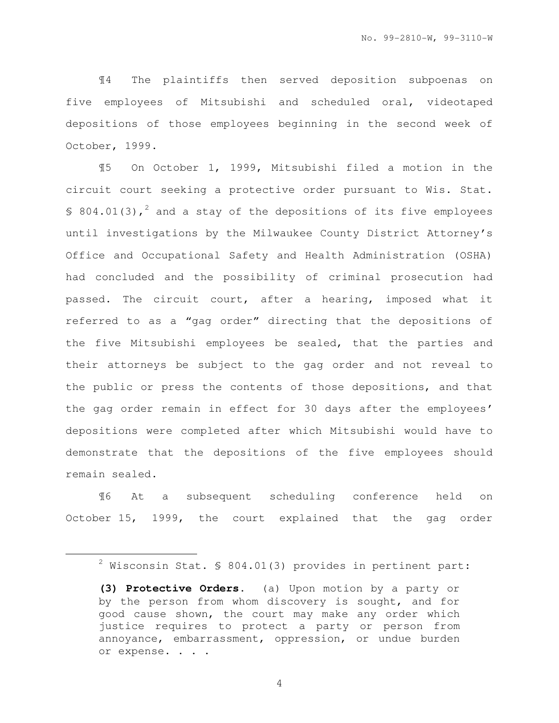¶4 The plaintiffs then served deposition subpoenas on five employees of Mitsubishi and scheduled oral, videotaped depositions of those employees beginning in the second week of October, 1999.

¶5 On October 1, 1999, Mitsubishi filed a motion in the circuit court seeking a protective order pursuant to Wis. Stat. § 804.01(3),<sup>2</sup> and a stay of the depositions of its five employees until investigations by the Milwaukee County District Attorney's Office and Occupational Safety and Health Administration (OSHA) had concluded and the possibility of criminal prosecution had passed. The circuit court, after a hearing, imposed what it referred to as a "gag order" directing that the depositions of the five Mitsubishi employees be sealed, that the parties and their attorneys be subject to the gag order and not reveal to the public or press the contents of those depositions, and that the gag order remain in effect for 30 days after the employees' depositions were completed after which Mitsubishi would have to demonstrate that the depositions of the five employees should remain sealed.

¶6 At a subsequent scheduling conference held on October 15, 1999, the court explained that the gag order

e<br>S

 $2$  Wisconsin Stat. § 804.01(3) provides in pertinent part:

**<sup>(3)</sup> Protective Orders**. (a) Upon motion by a party or by the person from whom discovery is sought, and for good cause shown, the court may make any order which justice requires to protect a party or person from annoyance, embarrassment, oppression, or undue burden or expense. . . .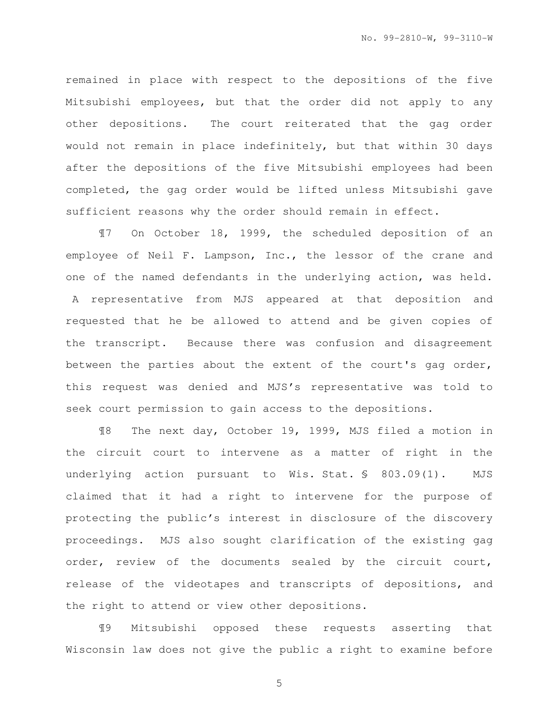remained in place with respect to the depositions of the five Mitsubishi employees, but that the order did not apply to any other depositions. The court reiterated that the gag order would not remain in place indefinitely, but that within 30 days after the depositions of the five Mitsubishi employees had been completed, the gag order would be lifted unless Mitsubishi gave sufficient reasons why the order should remain in effect.

¶7 On October 18, 1999, the scheduled deposition of an employee of Neil F. Lampson, Inc., the lessor of the crane and one of the named defendants in the underlying action, was held. A representative from MJS appeared at that deposition and requested that he be allowed to attend and be given copies of the transcript. Because there was confusion and disagreement between the parties about the extent of the court's gag order, this request was denied and MJS's representative was told to seek court permission to gain access to the depositions.

¶8 The next day, October 19, 1999, MJS filed a motion in the circuit court to intervene as a matter of right in the underlying action pursuant to Wis. Stat. § 803.09(1). MJS claimed that it had a right to intervene for the purpose of protecting the public's interest in disclosure of the discovery proceedings. MJS also sought clarification of the existing gag order, review of the documents sealed by the circuit court, release of the videotapes and transcripts of depositions, and the right to attend or view other depositions.

¶9 Mitsubishi opposed these requests asserting that Wisconsin law does not give the public a right to examine before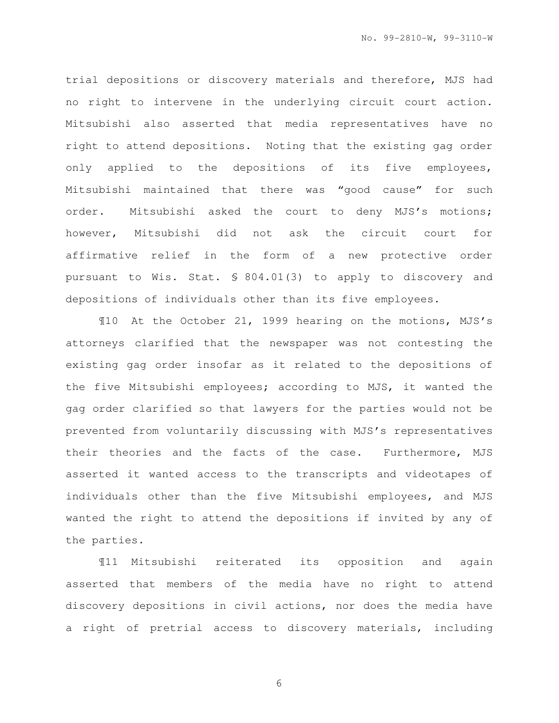trial depositions or discovery materials and therefore, MJS had no right to intervene in the underlying circuit court action. Mitsubishi also asserted that media representatives have no right to attend depositions. Noting that the existing gag order only applied to the depositions of its five employees, Mitsubishi maintained that there was "good cause" for such order. Mitsubishi asked the court to deny MJS's motions; however, Mitsubishi did not ask the circuit court for affirmative relief in the form of a new protective order pursuant to Wis. Stat. § 804.01(3) to apply to discovery and depositions of individuals other than its five employees.

¶10 At the October 21, 1999 hearing on the motions, MJS's attorneys clarified that the newspaper was not contesting the existing gag order insofar as it related to the depositions of the five Mitsubishi employees; according to MJS, it wanted the gag order clarified so that lawyers for the parties would not be prevented from voluntarily discussing with MJS's representatives their theories and the facts of the case. Furthermore, MJS asserted it wanted access to the transcripts and videotapes of individuals other than the five Mitsubishi employees, and MJS wanted the right to attend the depositions if invited by any of the parties.

¶11 Mitsubishi reiterated its opposition and again asserted that members of the media have no right to attend discovery depositions in civil actions, nor does the media have a right of pretrial access to discovery materials, including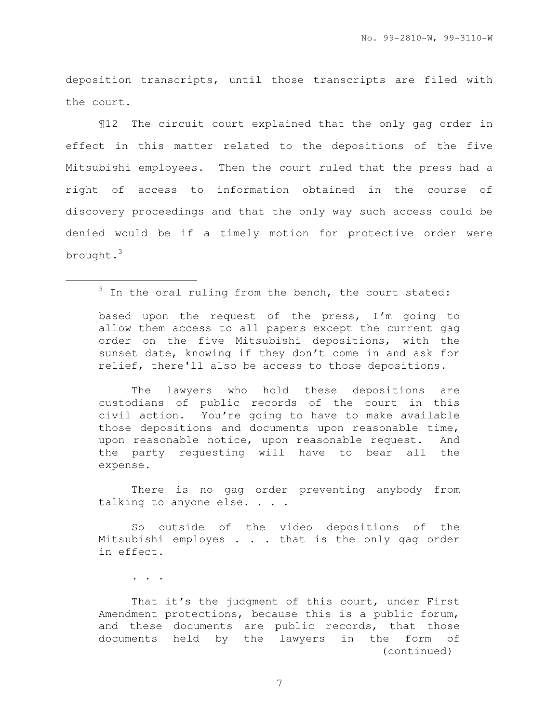deposition transcripts, until those transcripts are filed with the court.

¶12 The circuit court explained that the only gag order in effect in this matter related to the depositions of the five Mitsubishi employees. Then the court ruled that the press had a right of access to information obtained in the course of discovery proceedings and that the only way such access could be denied would be if a timely motion for protective order were brought.<sup>3</sup>

based upon the request of the press, I'm going to allow them access to all papers except the current gag order on the five Mitsubishi depositions, with the sunset date, knowing if they don't come in and ask for relief, there'll also be access to those depositions.

The lawyers who hold these depositions are custodians of public records of the court in this civil action. You're going to have to make available those depositions and documents upon reasonable time, upon reasonable notice, upon reasonable request. And the party requesting will have to bear all the expense.

There is no gag order preventing anybody from talking to anyone else. . . .

So outside of the video depositions of the Mitsubishi employes . . . that is the only gag order in effect.

. . .

e<br>S

That it's the judgment of this court, under First Amendment protections, because this is a public forum, and these documents are public records, that those documents held by the lawyers in the form of (continued)

 $3$  In the oral ruling from the bench, the court stated: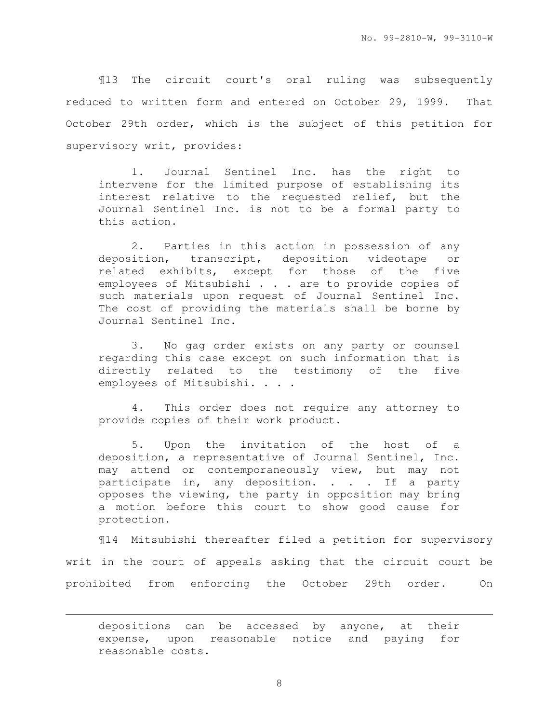¶13 The circuit court's oral ruling was subsequently reduced to written form and entered on October 29, 1999. That October 29th order, which is the subject of this petition for supervisory writ, provides:

1. Journal Sentinel Inc. has the right to intervene for the limited purpose of establishing its interest relative to the requested relief, but the Journal Sentinel Inc. is not to be a formal party to this action.

2. Parties in this action in possession of any deposition, transcript, deposition videotape or related exhibits, except for those of the five employees of Mitsubishi . . . are to provide copies of such materials upon request of Journal Sentinel Inc. The cost of providing the materials shall be borne by Journal Sentinel Inc.

3. No gag order exists on any party or counsel regarding this case except on such information that is directly related to the testimony of the five employees of Mitsubishi. . . .

4. This order does not require any attorney to provide copies of their work product.

5. Upon the invitation of the host of a deposition, a representative of Journal Sentinel, Inc. may attend or contemporaneously view, but may not participate in, any deposition. . . . If a party opposes the viewing, the party in opposition may bring a motion before this court to show good cause for protection.

¶14 Mitsubishi thereafter filed a petition for supervisory writ in the court of appeals asking that the circuit court be prohibited from enforcing the October 29th order. On

depositions can be accessed by anyone, at their expense, upon reasonable notice and paying for reasonable costs.

e<br>S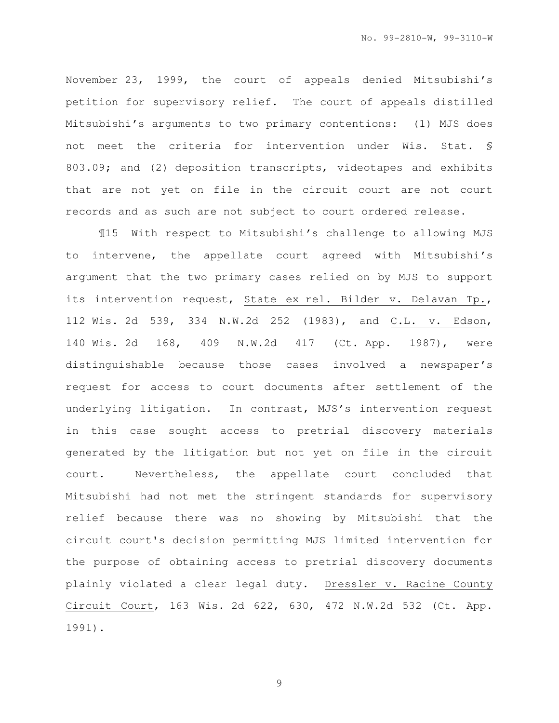November 23, 1999, the court of appeals denied Mitsubishi's petition for supervisory relief. The court of appeals distilled Mitsubishi's arguments to two primary contentions: (1) MJS does not meet the criteria for intervention under Wis. Stat. § 803.09; and (2) deposition transcripts, videotapes and exhibits that are not yet on file in the circuit court are not court records and as such are not subject to court ordered release.

¶15 With respect to Mitsubishi's challenge to allowing MJS to intervene, the appellate court agreed with Mitsubishi's argument that the two primary cases relied on by MJS to support its intervention request, State ex rel. Bilder v. Delavan Tp., 112 Wis. 2d 539, 334 N.W.2d 252 (1983), and C.L. v. Edson, 140 Wis. 2d 168, 409 N.W.2d 417 (Ct. App. 1987), were distinguishable because those cases involved a newspaper's request for access to court documents after settlement of the underlying litigation. In contrast, MJS's intervention request in this case sought access to pretrial discovery materials generated by the litigation but not yet on file in the circuit court. Nevertheless, the appellate court concluded that Mitsubishi had not met the stringent standards for supervisory relief because there was no showing by Mitsubishi that the circuit court's decision permitting MJS limited intervention for the purpose of obtaining access to pretrial discovery documents plainly violated a clear legal duty. Dressler v. Racine County Circuit Court, 163 Wis. 2d 622, 630, 472 N.W.2d 532 (Ct. App. 1991).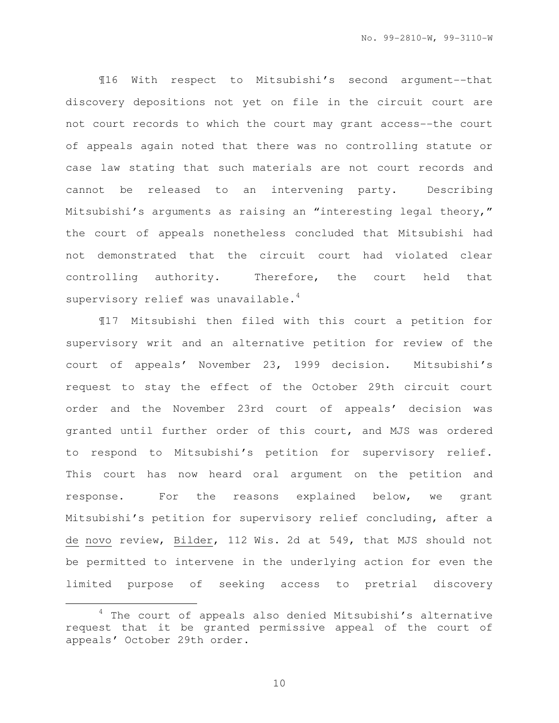¶16 With respect to Mitsubishi's second argument--that discovery depositions not yet on file in the circuit court are not court records to which the court may grant access--the court of appeals again noted that there was no controlling statute or case law stating that such materials are not court records and cannot be released to an intervening party. Describing Mitsubishi's arguments as raising an "interesting legal theory," the court of appeals nonetheless concluded that Mitsubishi had not demonstrated that the circuit court had violated clear controlling authority. Therefore, the court held that supervisory relief was unavailable.<sup>4</sup>

¶17 Mitsubishi then filed with this court a petition for supervisory writ and an alternative petition for review of the court of appeals' November 23, 1999 decision. Mitsubishi's request to stay the effect of the October 29th circuit court order and the November 23rd court of appeals' decision was granted until further order of this court, and MJS was ordered to respond to Mitsubishi's petition for supervisory relief. This court has now heard oral argument on the petition and response. For the reasons explained below, we grant Mitsubishi's petition for supervisory relief concluding, after a de novo review, Bilder, 112 Wis. 2d at 549, that MJS should not be permitted to intervene in the underlying action for even the limited purpose of seeking access to pretrial discovery

 $4$  The court of appeals also denied Mitsubishi's alternative request that it be granted permissive appeal of the court of appeals' October 29th order.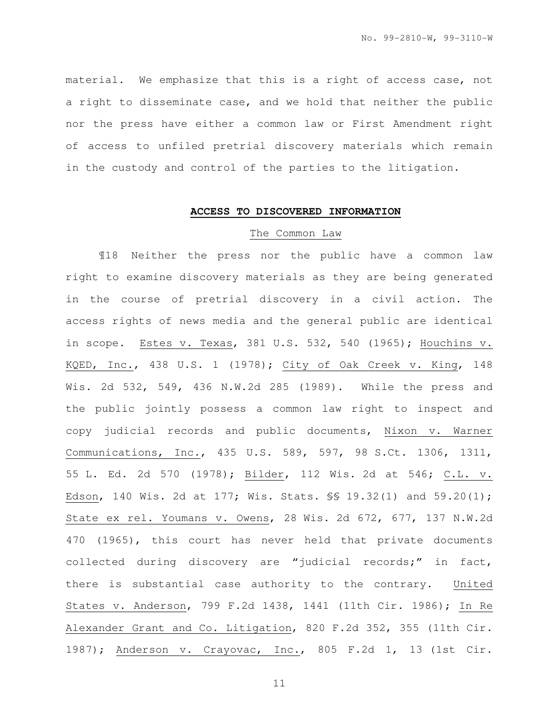material. We emphasize that this is a right of access case, not a right to disseminate case, and we hold that neither the public nor the press have either a common law or First Amendment right of access to unfiled pretrial discovery materials which remain in the custody and control of the parties to the litigation.

### **ACCESS TO DISCOVERED INFORMATION**

#### The Common Law

¶18 Neither the press nor the public have a common law right to examine discovery materials as they are being generated in the course of pretrial discovery in a civil action. The access rights of news media and the general public are identical in scope. Estes v. Texas, 381 U.S. 532, 540 (1965); Houchins v. KQED, Inc., 438 U.S. 1 (1978); City of Oak Creek v. King, 148 Wis. 2d 532, 549, 436 N.W.2d 285 (1989). While the press and the public jointly possess a common law right to inspect and copy judicial records and public documents, Nixon v. Warner Communications, Inc., 435 U.S. 589, 597, 98 S.Ct. 1306, 1311, 55 L. Ed. 2d 570 (1978); Bilder, 112 Wis. 2d at 546; C.L. v. Edson, 140 Wis. 2d at 177; Wis. Stats. §§ 19.32(1) and 59.20(1); State ex rel. Youmans v. Owens, 28 Wis. 2d 672, 677, 137 N.W.2d 470 (1965), this court has never held that private documents collected during discovery are "judicial records;" in fact, there is substantial case authority to the contrary. United States v. Anderson, 799 F.2d 1438, 1441 (11th Cir. 1986); In Re Alexander Grant and Co. Litigation, 820 F.2d 352, 355 (11th Cir. 1987); Anderson v. Crayovac, Inc., 805 F.2d 1, 13 (1st Cir.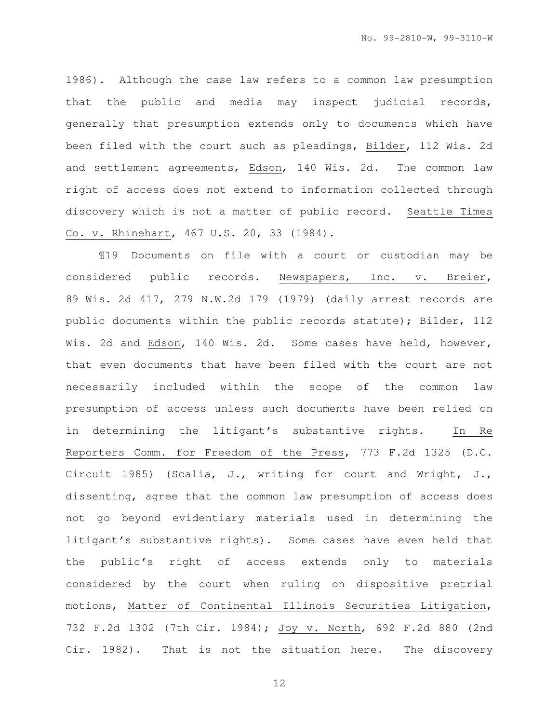1986). Although the case law refers to a common law presumption that the public and media may inspect judicial records, generally that presumption extends only to documents which have been filed with the court such as pleadings, Bilder, 112 Wis. 2d and settlement agreements, Edson, 140 Wis. 2d. The common law right of access does not extend to information collected through discovery which is not a matter of public record. Seattle Times Co. v. Rhinehart, 467 U.S. 20, 33 (1984).

¶19 Documents on file with a court or custodian may be considered public records. Newspapers, Inc. v. Breier, 89 Wis. 2d 417, 279 N.W.2d 179 (1979) (daily arrest records are public documents within the public records statute); Bilder, 112 Wis. 2d and Edson, 140 Wis. 2d. Some cases have held, however, that even documents that have been filed with the court are not necessarily included within the scope of the common law presumption of access unless such documents have been relied on in determining the litigant's substantive rights. In Re Reporters Comm. for Freedom of the Press, 773 F.2d 1325 (D.C. Circuit 1985) (Scalia, J., writing for court and Wright, J., dissenting, agree that the common law presumption of access does not go beyond evidentiary materials used in determining the litigant's substantive rights). Some cases have even held that the public's right of access extends only to materials considered by the court when ruling on dispositive pretrial motions, Matter of Continental Illinois Securities Litigation, 732 F.2d 1302 (7th Cir. 1984); Joy v. North, 692 F.2d 880 (2nd Cir. 1982). That is not the situation here. The discovery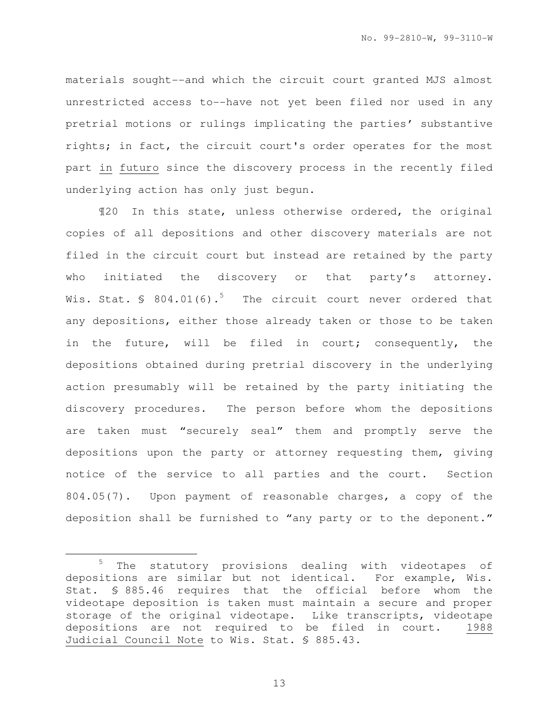materials sought--and which the circuit court granted MJS almost unrestricted access to--have not yet been filed nor used in any pretrial motions or rulings implicating the parties' substantive rights; in fact, the circuit court's order operates for the most part in futuro since the discovery process in the recently filed underlying action has only just begun.

¶20 In this state, unless otherwise ordered, the original copies of all depositions and other discovery materials are not filed in the circuit court but instead are retained by the party who initiated the discovery or that party's attorney. Wis. Stat.  $\frac{1}{5}$  804.01(6).<sup>5</sup> The circuit court never ordered that any depositions, either those already taken or those to be taken in the future, will be filed in court; consequently, the depositions obtained during pretrial discovery in the underlying action presumably will be retained by the party initiating the discovery procedures. The person before whom the depositions are taken must "securely seal" them and promptly serve the depositions upon the party or attorney requesting them, giving notice of the service to all parties and the court. Section 804.05(7). Upon payment of reasonable charges, a copy of the deposition shall be furnished to "any party or to the deponent."

<sup>5</sup> The statutory provisions dealing with videotapes of depositions are similar but not identical. For example, Wis. Stat. § 885.46 requires that the official before whom the videotape deposition is taken must maintain a secure and proper storage of the original videotape. Like transcripts, videotape depositions are not required to be filed in court. 1988 Judicial Council Note to Wis. Stat. § 885.43.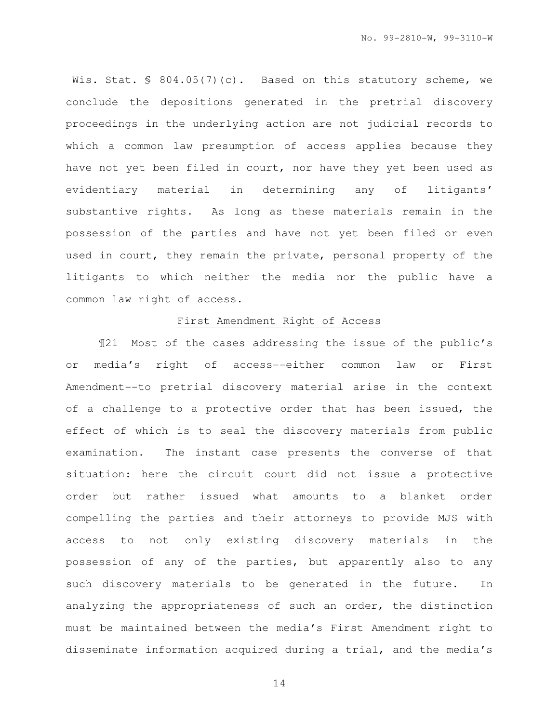Wis. Stat. § 804.05(7)(c). Based on this statutory scheme, we conclude the depositions generated in the pretrial discovery proceedings in the underlying action are not judicial records to which a common law presumption of access applies because they have not yet been filed in court, nor have they yet been used as evidentiary material in determining any of litigants' substantive rights. As long as these materials remain in the possession of the parties and have not yet been filed or even used in court, they remain the private, personal property of the litigants to which neither the media nor the public have a common law right of access.

## First Amendment Right of Access

¶21 Most of the cases addressing the issue of the public's or media's right of access--either common law or First Amendment--to pretrial discovery material arise in the context of a challenge to a protective order that has been issued, the effect of which is to seal the discovery materials from public examination. The instant case presents the converse of that situation: here the circuit court did not issue a protective order but rather issued what amounts to a blanket order compelling the parties and their attorneys to provide MJS with access to not only existing discovery materials in the possession of any of the parties, but apparently also to any such discovery materials to be generated in the future. In analyzing the appropriateness of such an order, the distinction must be maintained between the media's First Amendment right to disseminate information acquired during a trial, and the media's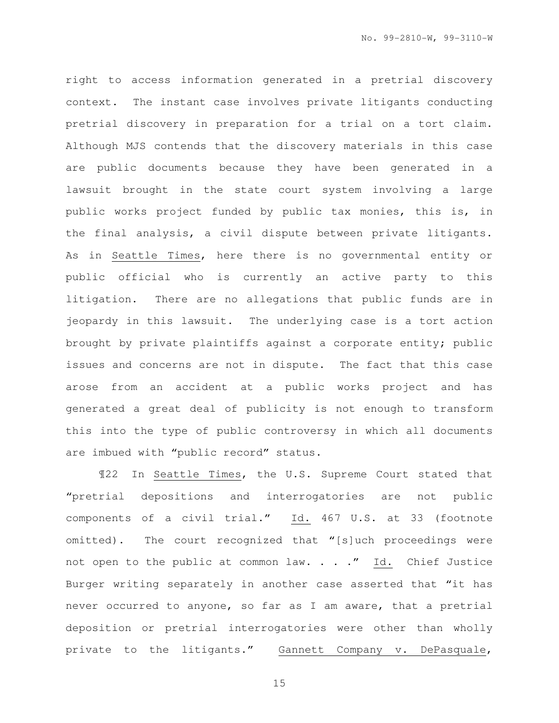right to access information generated in a pretrial discovery context. The instant case involves private litigants conducting pretrial discovery in preparation for a trial on a tort claim. Although MJS contends that the discovery materials in this case are public documents because they have been generated in a lawsuit brought in the state court system involving a large public works project funded by public tax monies, this is, in the final analysis, a civil dispute between private litigants. As in Seattle Times, here there is no governmental entity or public official who is currently an active party to this litigation. There are no allegations that public funds are in jeopardy in this lawsuit. The underlying case is a tort action brought by private plaintiffs against a corporate entity; public issues and concerns are not in dispute. The fact that this case arose from an accident at a public works project and has generated a great deal of publicity is not enough to transform this into the type of public controversy in which all documents are imbued with "public record" status.

¶22 In Seattle Times, the U.S. Supreme Court stated that "pretrial depositions and interrogatories are not public components of a civil trial." Id. 467 U.S. at 33 (footnote omitted). The court recognized that "[s]uch proceedings were not open to the public at common law. . . ." Id. Chief Justice Burger writing separately in another case asserted that "it has never occurred to anyone, so far as I am aware, that a pretrial deposition or pretrial interrogatories were other than wholly private to the litigants." Gannett Company v. DePasquale,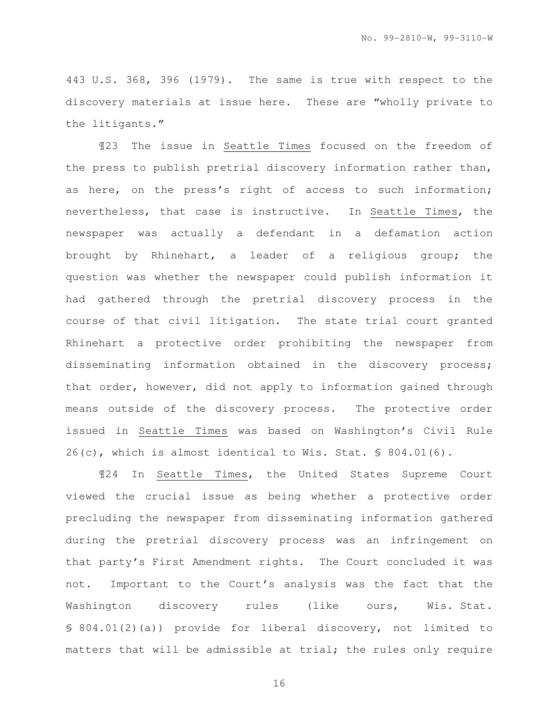443 U.S. 368, 396 (1979). The same is true with respect to the discovery materials at issue here. These are "wholly private to the litigants."

¶23 The issue in Seattle Times focused on the freedom of the press to publish pretrial discovery information rather than, as here, on the press's right of access to such information; nevertheless, that case is instructive. In Seattle Times, the newspaper was actually a defendant in a defamation action brought by Rhinehart, a leader of a religious group; the question was whether the newspaper could publish information it had gathered through the pretrial discovery process in the course of that civil litigation. The state trial court granted Rhinehart a protective order prohibiting the newspaper from disseminating information obtained in the discovery process; that order, however, did not apply to information gained through means outside of the discovery process. The protective order issued in Seattle Times was based on Washington's Civil Rule  $26(c)$ , which is almost identical to Wis. Stat. § 804.01(6).

¶24 In Seattle Times, the United States Supreme Court viewed the crucial issue as being whether a protective order precluding the newspaper from disseminating information gathered during the pretrial discovery process was an infringement on that party's First Amendment rights. The Court concluded it was not. Important to the Court's analysis was the fact that the Washington discovery rules (like ours, Wis. Stat. § 804.01(2)(a)) provide for liberal discovery, not limited to matters that will be admissible at trial; the rules only require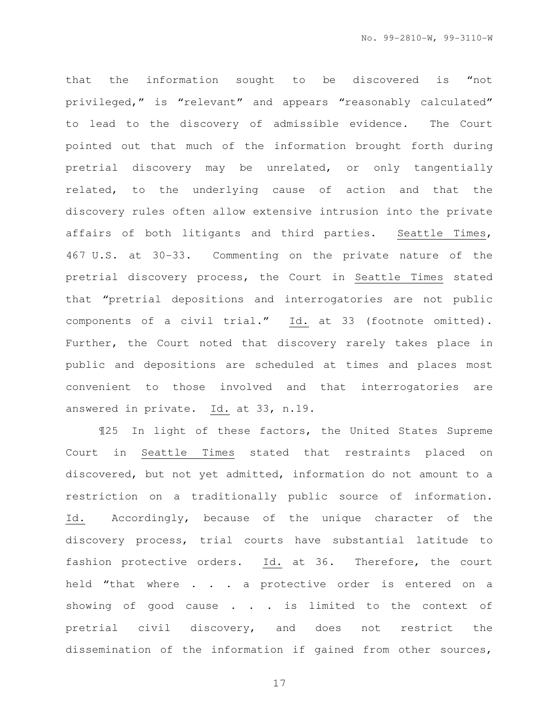that the information sought to be discovered is "not privileged," is "relevant" and appears "reasonably calculated" to lead to the discovery of admissible evidence. The Court pointed out that much of the information brought forth during pretrial discovery may be unrelated, or only tangentially related, to the underlying cause of action and that the discovery rules often allow extensive intrusion into the private affairs of both litigants and third parties. Seattle Times, 467 U.S. at 30-33. Commenting on the private nature of the pretrial discovery process, the Court in Seattle Times stated that "pretrial depositions and interrogatories are not public components of a civil trial." Id. at 33 (footnote omitted). Further, the Court noted that discovery rarely takes place in public and depositions are scheduled at times and places most convenient to those involved and that interrogatories are answered in private. Id. at 33, n.19.

¶25 In light of these factors, the United States Supreme Court in Seattle Times stated that restraints placed on discovered, but not yet admitted, information do not amount to a restriction on a traditionally public source of information. Id. Accordingly, because of the unique character of the discovery process, trial courts have substantial latitude to fashion protective orders. Id. at 36. Therefore, the court held "that where . . . a protective order is entered on a showing of good cause . . . is limited to the context of pretrial civil discovery, and does not restrict the dissemination of the information if gained from other sources,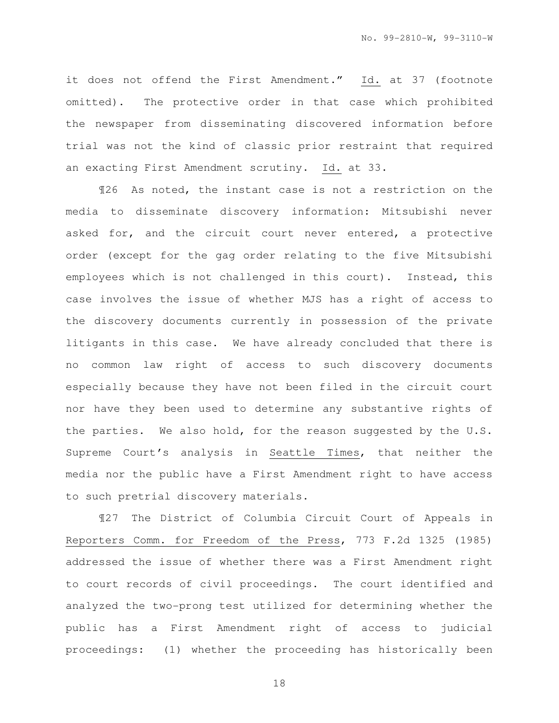it does not offend the First Amendment." Id. at 37 (footnote omitted). The protective order in that case which prohibited the newspaper from disseminating discovered information before trial was not the kind of classic prior restraint that required an exacting First Amendment scrutiny. Id. at 33.

¶26 As noted, the instant case is not a restriction on the media to disseminate discovery information: Mitsubishi never asked for, and the circuit court never entered, a protective order (except for the gag order relating to the five Mitsubishi employees which is not challenged in this court). Instead, this case involves the issue of whether MJS has a right of access to the discovery documents currently in possession of the private litigants in this case. We have already concluded that there is no common law right of access to such discovery documents especially because they have not been filed in the circuit court nor have they been used to determine any substantive rights of the parties. We also hold, for the reason suggested by the U.S. Supreme Court's analysis in Seattle Times, that neither the media nor the public have a First Amendment right to have access to such pretrial discovery materials.

¶27 The District of Columbia Circuit Court of Appeals in Reporters Comm. for Freedom of the Press, 773 F.2d 1325 (1985) addressed the issue of whether there was a First Amendment right to court records of civil proceedings. The court identified and analyzed the two-prong test utilized for determining whether the public has a First Amendment right of access to judicial proceedings: (1) whether the proceeding has historically been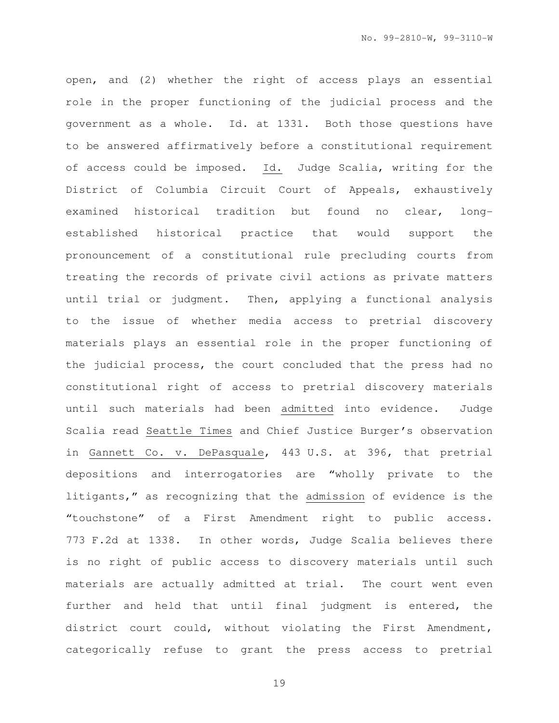open, and (2) whether the right of access plays an essential role in the proper functioning of the judicial process and the government as a whole. Id. at 1331. Both those questions have to be answered affirmatively before a constitutional requirement of access could be imposed. Id. Judge Scalia, writing for the District of Columbia Circuit Court of Appeals, exhaustively examined historical tradition but found no clear, longestablished historical practice that would support the pronouncement of a constitutional rule precluding courts from treating the records of private civil actions as private matters until trial or judgment. Then, applying a functional analysis to the issue of whether media access to pretrial discovery materials plays an essential role in the proper functioning of the judicial process, the court concluded that the press had no constitutional right of access to pretrial discovery materials until such materials had been admitted into evidence. Judge Scalia read Seattle Times and Chief Justice Burger's observation in Gannett Co. v. DePasquale, 443 U.S. at 396, that pretrial depositions and interrogatories are "wholly private to the litigants," as recognizing that the admission of evidence is the "touchstone" of a First Amendment right to public access. 773 F.2d at 1338. In other words, Judge Scalia believes there is no right of public access to discovery materials until such materials are actually admitted at trial. The court went even further and held that until final judgment is entered, the district court could, without violating the First Amendment, categorically refuse to grant the press access to pretrial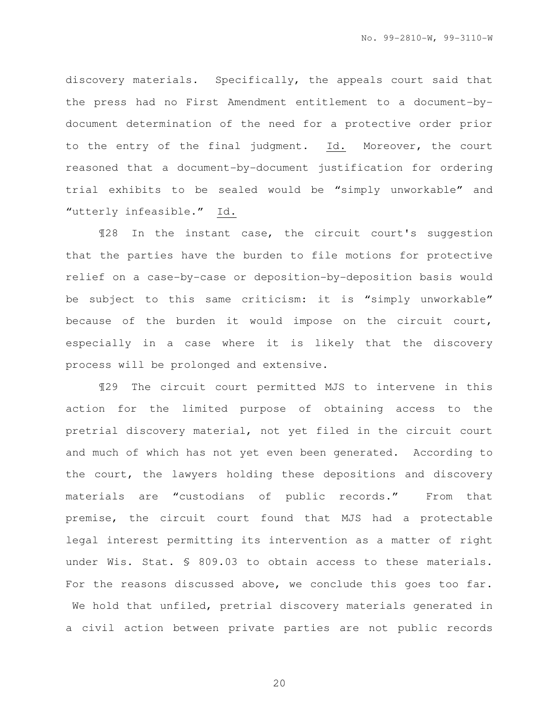discovery materials. Specifically, the appeals court said that the press had no First Amendment entitlement to a document-bydocument determination of the need for a protective order prior to the entry of the final judgment. Id. Moreover, the court reasoned that a document-by-document justification for ordering trial exhibits to be sealed would be "simply unworkable" and "utterly infeasible." Id.

¶28 In the instant case, the circuit court's suggestion that the parties have the burden to file motions for protective relief on a case-by-case or deposition-by-deposition basis would be subject to this same criticism: it is "simply unworkable" because of the burden it would impose on the circuit court, especially in a case where it is likely that the discovery process will be prolonged and extensive.

¶29 The circuit court permitted MJS to intervene in this action for the limited purpose of obtaining access to the pretrial discovery material, not yet filed in the circuit court and much of which has not yet even been generated. According to the court, the lawyers holding these depositions and discovery materials are "custodians of public records." From that premise, the circuit court found that MJS had a protectable legal interest permitting its intervention as a matter of right under Wis. Stat. § 809.03 to obtain access to these materials. For the reasons discussed above, we conclude this goes too far. We hold that unfiled, pretrial discovery materials generated in a civil action between private parties are not public records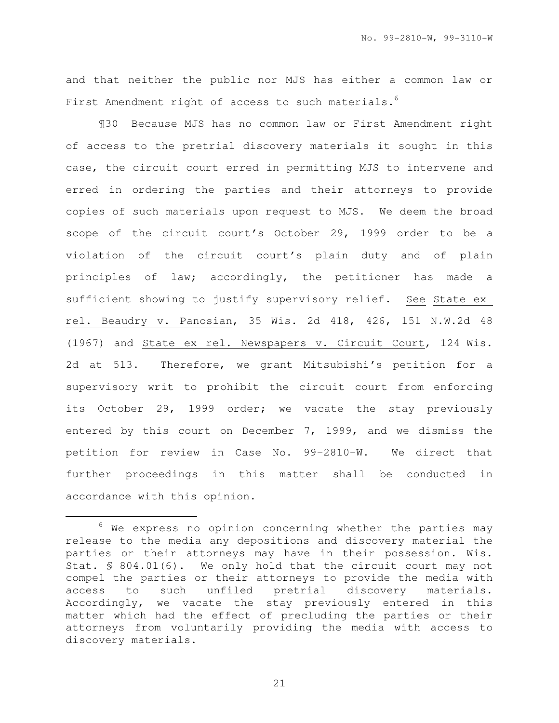and that neither the public nor MJS has either a common law or First Amendment right of access to such materials.<sup>6</sup>

¶30 Because MJS has no common law or First Amendment right of access to the pretrial discovery materials it sought in this case, the circuit court erred in permitting MJS to intervene and erred in ordering the parties and their attorneys to provide copies of such materials upon request to MJS. We deem the broad scope of the circuit court's October 29, 1999 order to be a violation of the circuit court's plain duty and of plain principles of law; accordingly, the petitioner has made a sufficient showing to justify supervisory relief. See State ex rel. Beaudry v. Panosian, 35 Wis. 2d 418, 426, 151 N.W.2d 48 (1967) and State ex rel. Newspapers v. Circuit Court, 124 Wis. 2d at 513. Therefore, we grant Mitsubishi's petition for a supervisory writ to prohibit the circuit court from enforcing its October 29, 1999 order; we vacate the stay previously entered by this court on December 7, 1999, and we dismiss the petition for review in Case No. 99-2810-W. We direct that further proceedings in this matter shall be conducted in accordance with this opinion.

i

 $6$  We express no opinion concerning whether the parties may release to the media any depositions and discovery material the parties or their attorneys may have in their possession. Wis. Stat. § 804.01(6). We only hold that the circuit court may not compel the parties or their attorneys to provide the media with access to such unfiled pretrial discovery materials. Accordingly, we vacate the stay previously entered in this matter which had the effect of precluding the parties or their attorneys from voluntarily providing the media with access to discovery materials.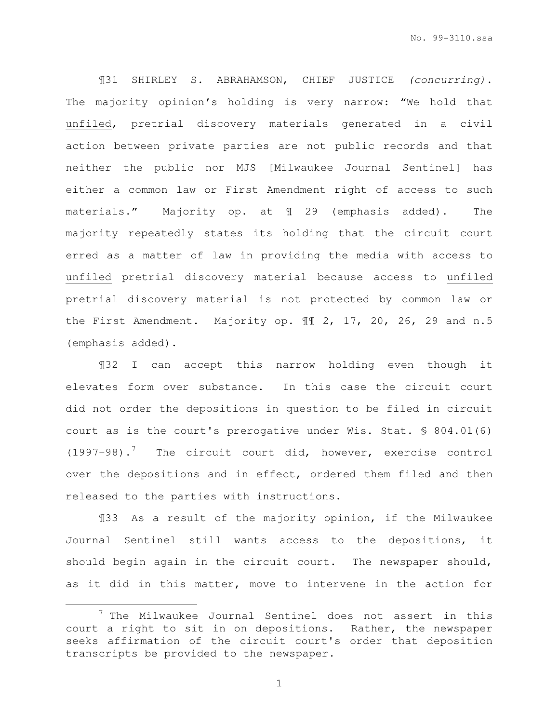¶31 SHIRLEY S. ABRAHAMSON, CHIEF JUSTICE (concurring). The majority opinion's holding is very narrow: "We hold that unfiled, pretrial discovery materials generated in a civil action between private parties are not public records and that neither the public nor MJS [Milwaukee Journal Sentinel] has either a common law or First Amendment right of access to such materials." Majority op. at ¶ 29 (emphasis added). The majority repeatedly states its holding that the circuit court erred as a matter of law in providing the media with access to unfiled pretrial discovery material because access to unfiled pretrial discovery material is not protected by common law or the First Amendment. Majority op. 11 2, 17, 20, 26, 29 and n.5 (emphasis added).

¶32 I can accept this narrow holding even though it elevates form over substance. In this case the circuit court did not order the depositions in question to be filed in circuit court as is the court's prerogative under Wis. Stat. § 804.01(6) (1997-98).<sup>7</sup> The circuit court did, however, exercise control over the depositions and in effect, ordered them filed and then released to the parties with instructions.

¶33 As a result of the majority opinion, if the Milwaukee Journal Sentinel still wants access to the depositions, it should begin again in the circuit court. The newspaper should, as it did in this matter, move to intervene in the action for

i

 $7$  The Milwaukee Journal Sentinel does not assert in this court a right to sit in on depositions. Rather, the newspaper seeks affirmation of the circuit court's order that deposition transcripts be provided to the newspaper.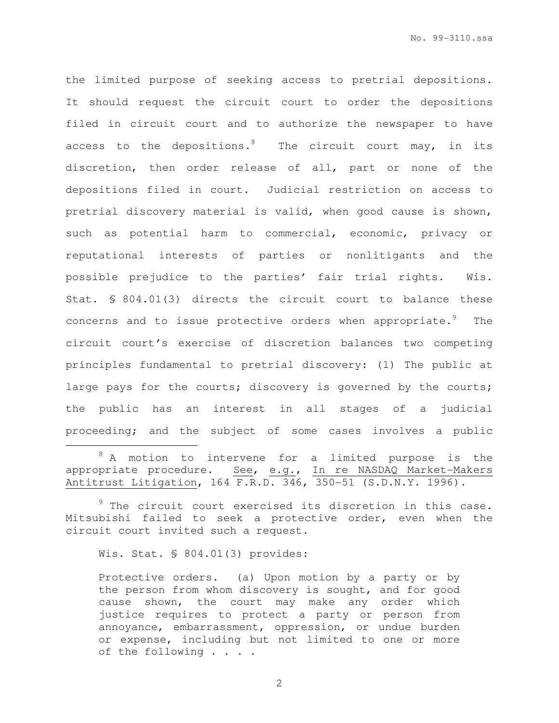the limited purpose of seeking access to pretrial depositions. It should request the circuit court to order the depositions filed in circuit court and to authorize the newspaper to have access to the depositions.<sup>8</sup> The circuit court may, in its discretion, then order release of all, part or none of the depositions filed in court. Judicial restriction on access to pretrial discovery material is valid, when good cause is shown, such as potential harm to commercial, economic, privacy or reputational interests of parties or nonlitigants and the possible prejudice to the parties' fair trial rights. Wis. Stat. § 804.01(3) directs the circuit court to balance these concerns and to issue protective orders when appropriate.<sup>9</sup> The circuit court's exercise of discretion balances two competing principles fundamental to pretrial discovery: (1) The public at large pays for the courts; discovery is governed by the courts; the public has an interest in all stages of a judicial proceeding; and the subject of some cases involves a public

Wis. Stat. § 804.01(3) provides:

i

Protective orders. (a) Upon motion by a party or by the person from whom discovery is sought, and for good cause shown, the court may make any order which justice requires to protect a party or person from annoyance, embarrassment, oppression, or undue burden or expense, including but not limited to one or more of the following . . . .

<sup>8</sup> A motion to intervene for a limited purpose is the appropriate procedure. See, e.g., In re NASDAQ Market-Makers Antitrust Litigation, 164 F.R.D. 346, 350-51 (S.D.N.Y. 1996).

<sup>&</sup>lt;sup>9</sup> The circuit court exercised its discretion in this case. Mitsubishi failed to seek a protective order, even when the circuit court invited such a request.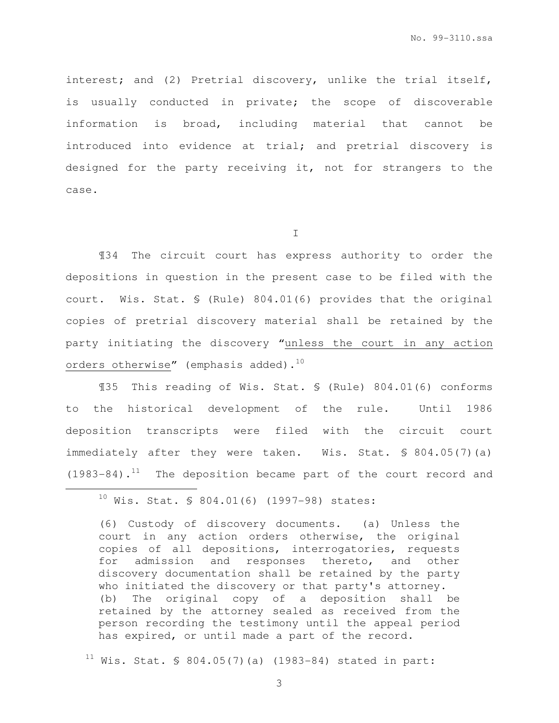No. 99-3110.ssa

interest; and (2) Pretrial discovery, unlike the trial itself, is usually conducted in private; the scope of discoverable information is broad, including material that cannot be introduced into evidence at trial; and pretrial discovery is designed for the party receiving it, not for strangers to the case.

I

¶34 The circuit court has express authority to order the depositions in question in the present case to be filed with the court. Wis. Stat. § (Rule) 804.01(6) provides that the original copies of pretrial discovery material shall be retained by the party initiating the discovery "unless the court in any action orders otherwise" (emphasis added).<sup>10</sup>

¶35 This reading of Wis. Stat. § (Rule) 804.01(6) conforms to the historical development of the rule. Until 1986 deposition transcripts were filed with the circuit court immediately after they were taken. Wis. Stat. § 804.05(7)(a)  $(1983-84)$ .<sup>11</sup> The deposition became part of the court record and

(6) Custody of discovery documents. (a) Unless the court in any action orders otherwise, the original copies of all depositions, interrogatories, requests for admission and responses thereto, and other discovery documentation shall be retained by the party who initiated the discovery or that party's attorney. (b) The original copy of a deposition shall be retained by the attorney sealed as received from the person recording the testimony until the appeal period has expired, or until made a part of the record.

 $11$  Wis. Stat. § 804.05(7)(a) (1983-84) stated in part:

 $10$  Wis. Stat. § 804.01(6) (1997-98) states: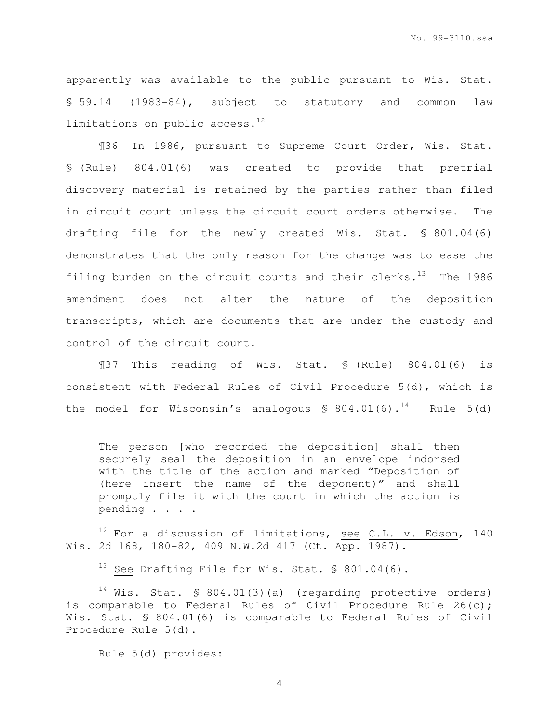apparently was available to the public pursuant to Wis. Stat. § 59.14 (1983-84), subject to statutory and common law limitations on public access. $^{12}$ 

¶36 In 1986, pursuant to Supreme Court Order, Wis. Stat. § (Rule) 804.01(6) was created to provide that pretrial discovery material is retained by the parties rather than filed in circuit court unless the circuit court orders otherwise. The drafting file for the newly created Wis. Stat. § 801.04(6) demonstrates that the only reason for the change was to ease the filing burden on the circuit courts and their clerks. $^{13}$  The 1986 amendment does not alter the nature of the deposition transcripts, which are documents that are under the custody and control of the circuit court.

¶37 This reading of Wis. Stat. § (Rule) 804.01(6) is consistent with Federal Rules of Civil Procedure 5(d), which is the model for Wisconsin's analogous  $$804.01(6).$ <sup>14</sup> Rule 5(d)

The person [who recorded the deposition] shall then securely seal the deposition in an envelope indorsed with the title of the action and marked "Deposition of (here insert the name of the deponent)" and shall promptly file it with the court in which the action is pending . . . .

 $12$  For a discussion of limitations, see C.L. v. Edson, 140 Wis. 2d 168, 180-82, 409 N.W.2d 417 (Ct. App. 1987).

 $13$  See Drafting File for Wis. Stat. § 801.04(6).

 $14$  Wis. Stat. § 804.01(3)(a) (regarding protective orders) is comparable to Federal Rules of Civil Procedure Rule 26(c): Wis. Stat. § 804.01(6) is comparable to Federal Rules of Civil Procedure Rule 5(d).

Rule 5(d) provides:

i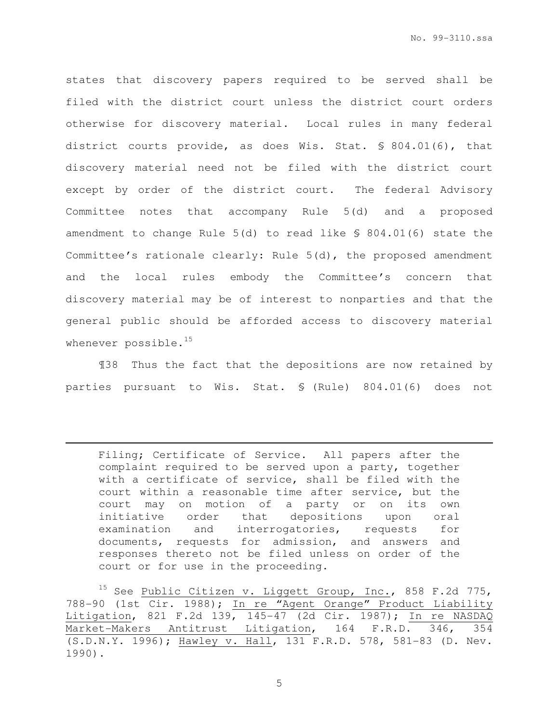No. 99-3110.ssa

states that discovery papers required to be served shall be filed with the district court unless the district court orders otherwise for discovery material. Local rules in many federal district courts provide, as does Wis. Stat. § 804.01(6), that discovery material need not be filed with the district court except by order of the district court. The federal Advisory Committee notes that accompany Rule 5(d) and a proposed amendment to change Rule 5(d) to read like § 804.01(6) state the Committee's rationale clearly: Rule 5(d), the proposed amendment and the local rules embody the Committee's concern that discovery material may be of interest to nonparties and that the general public should be afforded access to discovery material whenever possible.<sup>15</sup>

¶38 Thus the fact that the depositions are now retained by parties pursuant to Wis. Stat. § (Rule) 804.01(6) does not

Filing; Certificate of Service. All papers after the complaint required to be served upon a party, together with a certificate of service, shall be filed with the court within a reasonable time after service, but the court may on motion of a party or on its own initiative order that depositions upon oral examination and interrogatories, requests for documents, requests for admission, and answers and responses thereto not be filed unless on order of the court or for use in the proceeding.

<sup>15</sup> See Public Citizen v. Liggett Group, Inc., 858 F.2d 775, 788-90 (1st Cir. 1988); In re "Agent Orange" Product Liability Litigation, 821 F.2d 139, 145-47 (2d Cir. 1987); In re NASDAQ Market-Makers Antitrust Litigation, 164 F.R.D. 346, 354 (S.D.N.Y. 1996); Hawley v. Hall, 131 F.R.D. 578, 581-83 (D. Nev. 1990).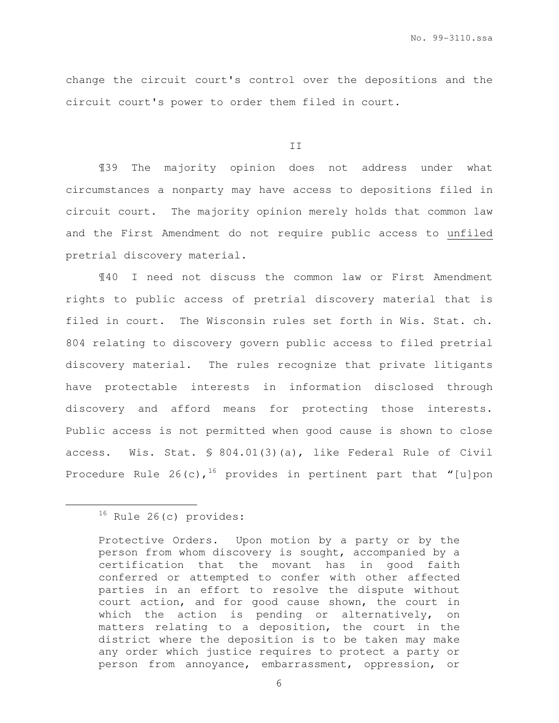change the circuit court's control over the depositions and the circuit court's power to order them filed in court.

II

¶39 The majority opinion does not address under what circumstances a nonparty may have access to depositions filed in circuit court. The majority opinion merely holds that common law and the First Amendment do not require public access to unfiled pretrial discovery material.

¶40 I need not discuss the common law or First Amendment rights to public access of pretrial discovery material that is filed in court. The Wisconsin rules set forth in Wis. Stat. ch. 804 relating to discovery govern public access to filed pretrial discovery material. The rules recognize that private litigants have protectable interests in information disclosed through discovery and afford means for protecting those interests. Public access is not permitted when good cause is shown to close access. Wis. Stat. § 804.01(3)(a), like Federal Rule of Civil Procedure Rule 26(c),<sup>16</sup> provides in pertinent part that "[u]pon

<sup>&</sup>lt;sup>16</sup> Rule 26(c) provides:

Protective Orders. Upon motion by a party or by the person from whom discovery is sought, accompanied by a certification that the movant has in good faith conferred or attempted to confer with other affected parties in an effort to resolve the dispute without court action, and for good cause shown, the court in which the action is pending or alternatively, on matters relating to a deposition, the court in the district where the deposition is to be taken may make any order which justice requires to protect a party or person from annoyance, embarrassment, oppression, or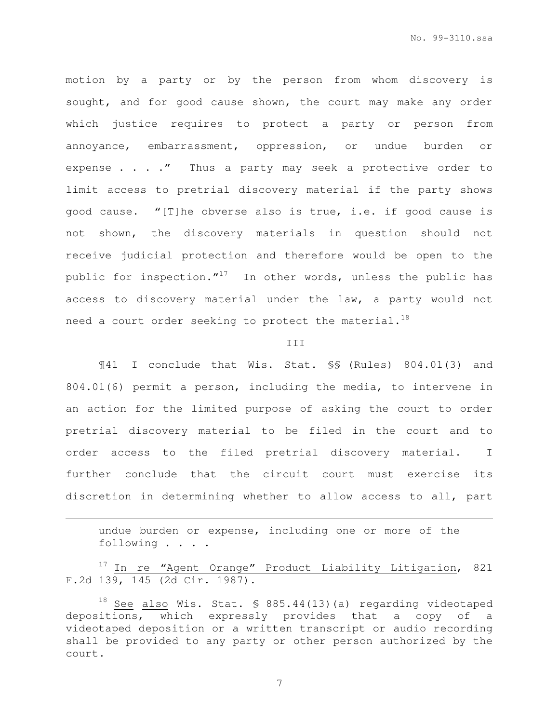No. 99-3110.ssa

motion by a party or by the person from whom discovery is sought, and for good cause shown, the court may make any order which justice requires to protect a party or person from annoyance, embarrassment, oppression, or undue burden or expense . . . ." Thus a party may seek a protective order to limit access to pretrial discovery material if the party shows good cause. "[T]he obverse also is true, i.e. if good cause is not shown, the discovery materials in question should not receive judicial protection and therefore would be open to the public for inspection. $''^{17}$  In other words, unless the public has access to discovery material under the law, a party would not need a court order seeking to protect the material.<sup>18</sup>

#### III

¶41 I conclude that Wis. Stat. §§ (Rules) 804.01(3) and 804.01(6) permit a person, including the media, to intervene in an action for the limited purpose of asking the court to order pretrial discovery material to be filed in the court and to order access to the filed pretrial discovery material. I further conclude that the circuit court must exercise its discretion in determining whether to allow access to all, part

undue burden or expense, including one or more of the following . . . .

<sup>17</sup> In re "Agent Orange" Product Liability Litigation, 821 F.2d 139, 145 (2d Cir. 1987).

 $18$  See also Wis. Stat. § 885.44(13)(a) regarding videotaped depositions, which expressly provides that a copy of a videotaped deposition or a written transcript or audio recording shall be provided to any party or other person authorized by the court.